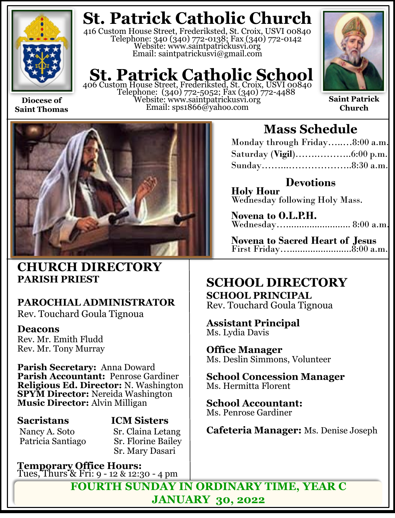

**Diocese of Saint Thomas**

# **St. Patrick Catholic Church**

416 Custom House Street, Frederiksted, St. Croix, USVI 00840 Telephone: 340 (340) 772-0138; Fax (340) 772-0142 Website: www.saintpatrickusvi.org Email: saintpatrickusvi@gmail.com

# **St. Patrick Catholic School** 406 Custom House Street, Frederiksted, St. Croix, USVI 00840

Telephone: (340) 772-5052; Fax (340) 772-4488 Website: www.saintpatrickusvi.org Email: sps1866@yahoo.com



**Saint Patrick Church**



## **CHURCH DIRECTORY PARISH PRIEST**

## **PAROCHIAL ADMINISTRATOR**

Rev. Touchard Goula Tignoua

## **Deacons**

Rev. Mr. Emith Fludd Rev. Mr. Tony Murray

**Parish Secretary:** Anna Doward **Parish Accountant:** Penrose Gardiner **Religious Ed. Director:** N. Washington **SPYM Director:** Nereida Washington **Music Director:** Alvin Milligan

## **Sacristans ICM Sisters**

Nancy A. Soto Sr. Claina Letang<br>Patricia Santiago Sr. Florine Bailey **Sr. Florine Bailey** Sr. Mary Dasari

**Temporary Office Hours:**  Tues, Thurs & Fri: 9 - 12 & 12:30 - 4 pm

## **Mass Schedule**

| Monday through Friday8:00 a.m. |  |
|--------------------------------|--|
|                                |  |
|                                |  |

**Devotions**

**Holy Hour**  Wednesday following Holy Mass.

**Novena to O.L.P.H.** Wednesday…......................... 8:00 a.m.

**Novena to Sacred Heart of Jesus** First Friday…........................8:00 a.m.

## **SCHOOL DIRECTORY SCHOOL PRINCIPAL**

Rev. Touchard Goula Tignoua

**Assistant Principal** Ms. Lydia Davis

**Office Manager** Ms. Deslin Simmons, Volunteer

**School Concession Manager** Ms. Hermitta Florent

**School Accountant:**  Ms. Penrose Gardiner

**Cafeteria Manager:** Ms. Denise Joseph

**FOURTH SUNDAY IN ORDINARY TIME, YEAR C JANUARY 30, 2022**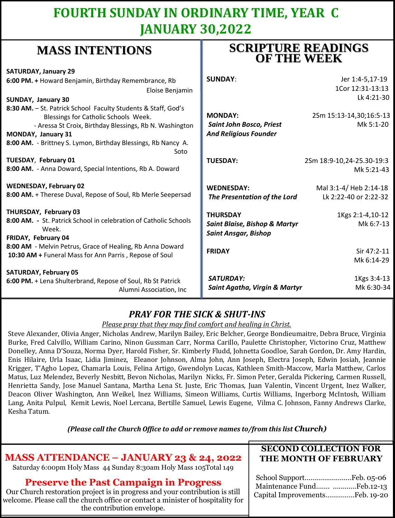## **FOURTH SUNDAY IN ORDINARY TIME, YEAR C JANUARY 30,2022**

## **MASS INTENTIONS**

| <b>SATURDAY, January 29</b><br>6:00 PM. + Howard Benjamin, Birthday Remembrance, Rb<br>Eloise Benjamin<br>SUNDAY, January 30                                                                                                                                           | <b>SUNDAY:</b>                                                                                              | Jer 1:4-5,17-19<br>1Cor 12:31-13:13<br>Lk 4:21-30          |
|------------------------------------------------------------------------------------------------------------------------------------------------------------------------------------------------------------------------------------------------------------------------|-------------------------------------------------------------------------------------------------------------|------------------------------------------------------------|
| 8:30 AM. - St. Patrick School Faculty Students & Staff, God's<br>Blessings for Catholic Schools Week.<br>- Aressa St Croix, Birthday Blessings, Rb N. Washington<br><b>MONDAY, January 31</b><br>8:00 AM. - Brittney S. Lymon, Birthday Blessings, Rb Nancy A.<br>Soto | <b>MONDAY:</b><br><b>Saint John Bosco, Priest</b><br><b>And Religious Founder</b>                           | 2Sm 15:13-14,30;16:5-13<br>Mk 5:1-20                       |
| TUESDAY, February 01<br>8:00 AM. - Anna Doward, Special Intentions, Rb A. Doward                                                                                                                                                                                       | <b>TUESDAY:</b>                                                                                             | 2Sm 18:9-10,24-25.30-19:3<br>Mk 5:21-43                    |
| <b>WEDNESDAY, February 02</b><br>8:00 AM. + Therese Duval, Repose of Soul, Rb Merle Seepersad                                                                                                                                                                          | <b>WEDNESDAY:</b><br>The Presentation of the Lord                                                           | Mal 3:1-4/ Heb 2:14-18<br>Lk 2:22-40 or 2:22-32            |
| THURSDAY, February 03<br>8:00 AM. - St. Patrick School in celebration of Catholic Schools<br>Week.<br>FRIDAY, February 04<br>8:00 AM - Melvin Petrus, Grace of Healing, Rb Anna Doward<br>10:30 AM + Funeral Mass for Ann Parris, Repose of Soul                       | <b>THURSDAY</b><br><b>Saint Blaise, Bishop &amp; Martyr</b><br><b>Saint Ansgar, Bishop</b><br><b>FRIDAY</b> | 1Kgs 2:1-4,10-12<br>Mk 6:7-13<br>Sir 47:2-11<br>Mk 6:14-29 |
| <b>SATURDAY, February 05</b><br>6:00 PM. + Lena Shulterbrand, Repose of Soul, Rb St Patrick<br>Alumni Association, Inc.                                                                                                                                                | <b>SATURDAY:</b><br>Saint Agatha, Virgin & Martyr                                                           | 1Kgs 3:4-13<br>Mk 6:30-34                                  |

## *PRAY FOR THE SICK & SHUT-INS*

### *Please pray that they may find comfort and healing in Christ.*

Steve Alexander, Olivia Anger, Nicholas Andrew, Marilyn Bailey, Eric Belcher, George Bondieumaitre, Debra Bruce, Virginia Burke, Fred Calvillo, William Carino, Ninon Gussman Carr, Norma Carillo, Paulette Christopher, Victorino Cruz, Matthew Donelley, Anna D'Souza, Norma Dyer, Harold Fisher, Sr. Kimberly Fludd, Johnetta Goodloe, Sarah Gordon, Dr. Amy Hardin, Enis Hilaire, Urla Isaac, Lidia Jiminez, Eleanor Johnson, Alma John, Ann Joseph, Electra Joseph, Edwin Josiah, Jeannie Krigger, T'Agho Lopez, Chamarla Louis, Felina Artigo, Gwendolyn Lucas, Kathleen Smith-Maccow, Marla Matthew, Carlos Matus, Luz Melendez, Beverly Nesbitt, Bevon Nicholas, Marilyn Nicks, Fr. Simon Peter, Geralda Pickering, Carmen Russell, Henrietta Sandy, Jose Manuel Santana, Martha Lena St. Juste, Eric Thomas, Juan Valentin, Vincent Urgent, Inez Walker, Deacon Oliver Washington, Ann Weikel, Inez Williams, Simeon Williams, Curtis Williams, Ingerborg McIntosh, William Lang, Anita Pulpul, Kemit Lewis, Noel Lercana, Bertille Samuel, Lewis Eugene, Vilma C. Johnson, Fanny Andrews Clarke, Kesha Tatum.

*(Please call the Church Office to add or remove names to/from this list Church)*

## **MASS ATTENDANCE – JANUARY 23 & 24, 2022**

Saturday 6:00pm Holy Mass 44 Sunday 8:30am Holy Mass 105Total 149

### **Preserve the Past Campaign in Progress**

Our Church restoration project is in progress and your contribution is still welcome. Please call the church office or contact a minister of hospitality for the contribution envelope.

### **SECOND COLLECTION FOR THE MONTH OF FEBRUARY**

| Maintenance Fund Feb.12-13     |  |
|--------------------------------|--|
| Capital ImprovementsFeb. 19-20 |  |

## **SCRIPTURE READINGS OF THE WEEK**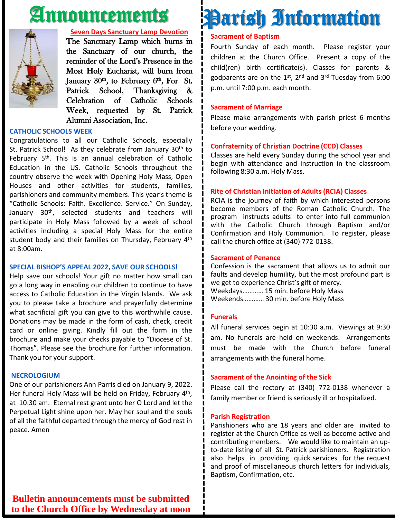# Announcements



#### **Seven Days Sanctuary Lamp Devotion**

The Sanctuary Lamp which burns in the Sanctuary of our church, the reminder of the Lord's Presence in the Most Holy Eucharist, will burn from January 30<sup>th</sup>, to February 6<sup>th</sup>, For St. Patrick School, Thanksgiving & Celebration of Catholic Schools Week, requested by St. Patrick Alumni Association, Inc.

### **CATHOLIC SCHOOLS WEEK**

Congratulations to all our Catholic Schools, especially St. Patrick School! As they celebrate from January 30<sup>th</sup> to February 5<sup>th</sup>. This is an annual celebration of Catholic Education in the US. Catholic Schools throughout the country observe the week with Opening Holy Mass, Open Houses and other activities for students, families, parishioners and community members. This year's theme is "Catholic Schools: Faith. Excellence. Service." On Sunday, January 30<sup>th</sup>, selected students and teachers will participate in Holy Mass followed by a week of school activities including a special Holy Mass for the entire student body and their families on Thursday, February 4<sup>th</sup> at 8:00am.

### **SPECIAL BISHOP'S APPEAL 2022, SAVE OUR SCHOOLS!**

Help save our schools! Your gift no matter how small can go a long way in enabling our children to continue to have access to Catholic Education in the Virgin Islands. We ask you to please take a brochure and prayerfully determine what sacrificial gift you can give to this worthwhile cause. Donations may be made in the form of cash, check, credit card or online giving. Kindly fill out the form in the brochure and make your checks payable to "Diocese of St. Thomas". Please see the brochure for further information. Thank you for your support.

### **NECROLOGIUM**

One of our parishioners Ann Parris died on January 9, 2022. Her funeral Holy Mass will be held on Friday, February 4<sup>th</sup>, at 10:30 am. Eternal rest grant unto her O Lord and let the Perpetual Light shine upon her. May her soul and the souls of all the faithful departed through the mercy of God rest in peace. Amen

# Parish Information

### **Sacrament of Baptism**

Fourth Sunday of each month. Please register your children at the Church Office. Present a copy of the child(ren) birth certificate(s). Classes for parents & godparents are on the 1st, 2<sup>nd</sup> and 3<sup>rd</sup> Tuesday from 6:00 p.m. until 7:00 p.m. each month.

### **Sacrament of Marriage**

Please make arrangements with parish priest 6 months before your wedding.

### **Confraternity of Christian Doctrine (CCD) Classes**

Classes are held every Sunday during the school year and begin with attendance and instruction in the classroom following 8:30 a.m. Holy Mass.

#### **Rite of Christian Initiation of Adults (RCIA) Classes**

RCIA is the journey of faith by which interested persons become members of the Roman Catholic Church. The program instructs adults to enter into full communion with the Catholic Church through Baptism and/or Confirmation and Holy Communion. To register, please call the church office at (340) 772-0138.

### **Sacrament of Penance**

Confession is the sacrament that allows us to admit our faults and develop humility, but the most profound part is we get to experience Christ's gift of mercy. Weekdays………… 15 min. before Holy Mass Weekends………… 30 min. before Holy Mass

#### **Funerals**

All funeral services begin at 10:30 a.m. Viewings at 9:30 am. No funerals are held on weekends. Arrangements must be made with the Church before funeral arrangements with the funeral home.

### **Sacrament of the Anointing of the Sick**

Please call the rectory at (340) 772-0138 whenever a family member or friend is seriously ill or hospitalized.

#### **Parish Registration**

Parishioners who are 18 years and older are invited to register at the Church Office as well as become active and contributing members. We would like to maintain an upto-date listing of all St. Patrick parishioners. Registration also helps in providing quick services for the request and proof of miscellaneous church letters for individuals, Baptism, Confirmation, etc.